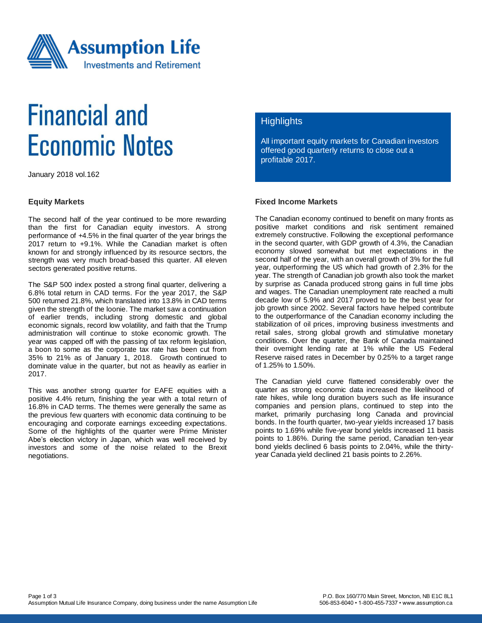

# **Financial and Economic Notes**

January 2018 vol.162

#### **Equity Markets**

The second half of the year continued to be more rewarding than the first for Canadian equity investors. A strong performance of +4.5% in the final quarter of the year brings the 2017 return to +9.1%. While the Canadian market is often known for and strongly influenced by its resource sectors, the strength was very much broad-based this quarter. All eleven sectors generated positive returns.

The S&P 500 index posted a strong final quarter, delivering a 6.8% total return in CAD terms. For the year 2017, the S&P 500 returned 21.8%, which translated into 13.8% in CAD terms given the strength of the loonie. The market saw a continuation of earlier trends, including strong domestic and global economic signals, record low volatility, and faith that the Trump administration will continue to stoke economic growth. The year was capped off with the passing of tax reform legislation, a boon to some as the corporate tax rate has been cut from 35% to 21% as of January 1, 2018. Growth continued to dominate value in the quarter, but not as heavily as earlier in 2017.

This was another strong quarter for EAFE equities with a positive 4.4% return, finishing the year with a total return of 16.8% in CAD terms. The themes were generally the same as the previous few quarters with economic data continuing to be encouraging and corporate earnings exceeding expectations. Some of the highlights of the quarter were Prime Minister Abe's election victory in Japan, which was well received by investors and some of the noise related to the Brexit negotiations.

#### **Highlights**

All important equity markets for Canadian investors offered good quarterly returns to close out a profitable 2017.

### **Fixed Income Markets**

The Canadian economy continued to benefit on many fronts as positive market conditions and risk sentiment remained extremely constructive. Following the exceptional performance in the second quarter, with GDP growth of 4.3%, the Canadian economy slowed somewhat but met expectations in the second half of the year, with an overall growth of 3% for the full year, outperforming the US which had growth of 2.3% for the year. The strength of Canadian job growth also took the market by surprise as Canada produced strong gains in full time jobs and wages. The Canadian unemployment rate reached a multi decade low of 5.9% and 2017 proved to be the best year for job growth since 2002. Several factors have helped contribute to the outperformance of the Canadian economy including the stabilization of oil prices, improving business investments and retail sales, strong global growth and stimulative monetary conditions. Over the quarter, the Bank of Canada maintained their overnight lending rate at 1% while the US Federal Reserve raised rates in December by 0.25% to a target range of 1.25% to 1.50%.

The Canadian yield curve flattened considerably over the quarter as strong economic data increased the likelihood of rate hikes, while long duration buyers such as life insurance companies and pension plans, continued to step into the market, primarily purchasing long Canada and provincial bonds. In the fourth quarter, two-year yields increased 17 basis points to 1.69% while five-year bond yields increased 11 basis points to 1.86%. During the same period, Canadian ten-year bond yields declined 6 basis points to 2.04%, while the thirtyyear Canada yield declined 21 basis points to 2.26%.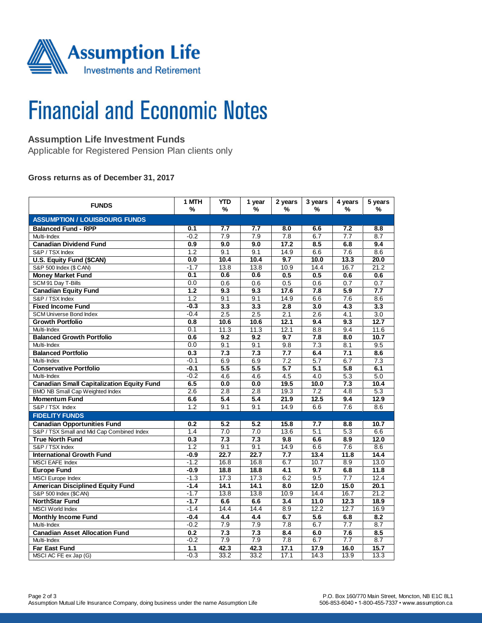

# **Financial and Economic Notes**

## **Assumption Life Investment Funds**

Applicable for Registered Pension Plan clients only

#### **Gross returns as of December 31, 2017**

| <b>FUNDS</b>                                     | 1 MTH<br>%       | YTD<br>% | 1 year<br>% | 2 years<br>%     | 3 years<br>% | 4 years<br>%     | 5 years<br>$\frac{9}{6}$ |  |  |  |  |
|--------------------------------------------------|------------------|----------|-------------|------------------|--------------|------------------|--------------------------|--|--|--|--|
| <b>ASSUMPTION / LOUISBOURG FUNDS</b>             |                  |          |             |                  |              |                  |                          |  |  |  |  |
| <b>Balanced Fund - RPP</b>                       | 0.1              | 7.7      | 7.7         | 8.0              | 6.6          | 7.2              | 8.8                      |  |  |  |  |
| Multi-Index                                      | $-0.2$           | 7.9      | 7.9         | 7.8              | 6.7          | 7.7              | 8.7                      |  |  |  |  |
| <b>Canadian Dividend Fund</b>                    | 0.9              | 9.0      | 9.0         | 17.2             | 8.5          | 6.8              | 9.4                      |  |  |  |  |
| S&P / TSX Index                                  | 1.2              | 9.1      | 9.1         | 14.9             | 6.6          | 7.6              | 8.6                      |  |  |  |  |
| U.S. Equity Fund (\$CAN)                         | 0.0              | 10.4     | 10.4        | 9.7              | 10.0         | 13.3             | 20.0                     |  |  |  |  |
| S&P 500 Index (\$ CAN)                           | $-1.7$           | 13.8     | 13.8        | 10.9             | 14.4         | 16.7             | 21.2                     |  |  |  |  |
| <b>Money Market Fund</b>                         | 0.1              | 0.6      | 0.6         | 0.5              | 0.5          | 0.6              | 0.6                      |  |  |  |  |
| SCM 91 Day T-Bills                               | 0.0              | 0.6      | 0.6         | 0.5              | 0.6          | 0.7              | 0.7                      |  |  |  |  |
| <b>Canadian Equity Fund</b>                      | $\overline{1.2}$ | 9.3      | 9.3         | 17.6             | 7.8          | 5.9              | 7.7                      |  |  |  |  |
| S&P / TSX Index                                  | 1.2              | 9.1      | 9.1         | 14.9             | 6.6          | 7.6              | 8.6                      |  |  |  |  |
| <b>Fixed Income Fund</b>                         | $-0.3$           | 3.3      | 3.3         | 2.8              | 3.0          | 4.3              | 3.3                      |  |  |  |  |
| <b>SCM Universe Bond Index</b>                   | $-0.4$           | 2.5      | 2.5         | 2.1              | 2.6          | 4.1              | 3.0                      |  |  |  |  |
| <b>Growth Portfolio</b>                          | 0.8              | 10.6     | 10.6        | 12.1             | 9.4          | 9.3              | 12.7                     |  |  |  |  |
| Multi-Index                                      | 0.1              | 11.3     | 11.3        | 12.1             | 8.8          | 9.4              | 11.6                     |  |  |  |  |
| <b>Balanced Growth Portfolio</b>                 | 0.6              | 9.2      | 9.2         | 9.7              | 7.8          | 8.0              | 10.7                     |  |  |  |  |
| Multi-Index                                      | 0.0              | 9.1      | 9.1         | 9.8              | 7.3          | 8.1              | 9.5                      |  |  |  |  |
| <b>Balanced Portfolio</b>                        | 0.3              | 7.3      | 7.3         | 7.7              | 6.4          | 7.1              | 8.6                      |  |  |  |  |
| Multi-Index                                      | $-0.1$           | 6.9      | 6.9         | 7.2              | 5.7          | 6.7              | 7.3                      |  |  |  |  |
| <b>Conservative Portfolio</b>                    | $-0.1$           | 5.5      | 5.5         | 5.7              | 5.1          | 5.8              | 6.1                      |  |  |  |  |
| Multi-Index                                      | $-0.2$           | 4.6      | 4.6         | 4.5              | 4.0          | 5.3              | 5.0                      |  |  |  |  |
| <b>Canadian Small Capitalization Equity Fund</b> | 6.5              | 0.0      | 0.0         | 19.5             | 10.0         | 7.3              | 10.4                     |  |  |  |  |
| <b>BMO NB Small Cap Weighted Index</b>           | 2.6              | 2.8      | 2.8         | 19.3             | 7.2          | 4.8              | 5.3                      |  |  |  |  |
| <b>Momentum Fund</b>                             | 6.6              | 5.4      | 5.4         | 21.9             | 12.5         | 9.4              | 12.9                     |  |  |  |  |
| S&P/TSX Index                                    | 1.2              | 9.1      | 9.1         | 14.9             | 6.6          | 7.6              | 8.6                      |  |  |  |  |
| <b>FIDELITY FUNDS</b>                            |                  |          |             |                  |              |                  |                          |  |  |  |  |
| <b>Canadian Opportunities Fund</b>               | 0.2              | 5.2      | 5.2         | 15.8             | 7.7          | 8.8              | 10.7                     |  |  |  |  |
| S&P / TSX Small and Mid Cap Combined Index       | 1.4              | 7.0      | 7.0         | 13.6             | 5.1          | 5.3              | 6.6                      |  |  |  |  |
| <b>True North Fund</b>                           | 0.3              | 7.3      | 7.3         | 9.8              | 6.6          | 8.9              | 12.0                     |  |  |  |  |
| S&P / TSX Index                                  | 1.2              | 9.1      | 9.1         | 14.9             | 6.6          | 7.6              | 8.6                      |  |  |  |  |
| <b>International Growth Fund</b>                 | $-0.9$           | 22.7     | 22.7        | 7.7              | 13.4         | 11.8             | 14.4                     |  |  |  |  |
| <b>MSCI EAFE Index</b>                           | $-1.2$           | 16.8     | 16.8        | 6.7              | 10.7         | 8.9              | 13.0                     |  |  |  |  |
| <b>Europe Fund</b>                               | $-0.9$           | 18.8     | 18.8        | 4.1              | 9.7          | 6.8              | 11.8                     |  |  |  |  |
| <b>MSCI</b> Europe Index                         | $-1.3$           | 17.3     | 17.3        | 6.2              | 9.5          | 7.7              | 12.4                     |  |  |  |  |
| <b>American Disciplined Equity Fund</b>          | $-1.4$           | 14.1     | 14.1        | $\overline{8.0}$ | 12.0         | 15.0             | 20.1                     |  |  |  |  |
| S&P 500 Index (\$CAN)                            | $-1.7$           | 13.8     | 13.8        | 10.9             | 14.4         | 16.7             | 21.2                     |  |  |  |  |
| <b>NorthStar Fund</b>                            | $-1.7$           | 6.6      | 6.6         | 3.4              | 11.0         | 12.3             | 18.9                     |  |  |  |  |
| MSCI World Index                                 | $-1.4$           | 14.4     | 14.4        | 8.9              | 12.2         | 12.7             | 16.9                     |  |  |  |  |
| <b>Monthly Income Fund</b>                       | $-0.4$           | 4.4      | 4.4         | 6.7              | 5.6          | 6.8              | 8.2                      |  |  |  |  |
| Multi-Index                                      | $-0.2$           | 7.9      | 7.9         | $\overline{7.8}$ | 6.7          | 7.7              | 8.7                      |  |  |  |  |
| <b>Canadian Asset Allocation Fund</b>            | 0.2              | 7.3      | 7.3         | 8.4              | 6.0          | 7.6              | 8.5                      |  |  |  |  |
| Multi-Index                                      | $-0.2$           | 7.9      | 7.9         | 7.8              | 6.7          | $\overline{7.7}$ | 8.7                      |  |  |  |  |
| <b>Far East Fund</b>                             | 1.1              | 42.3     | 42.3        | 17.1             | 17.9         | 16.0             | 15.7                     |  |  |  |  |
| MSCI AC FE ex Jap (G)                            | $-0.3$           | 33.2     | 33.2        | 17.1             | 14.3         | 13.9             | 13.3                     |  |  |  |  |